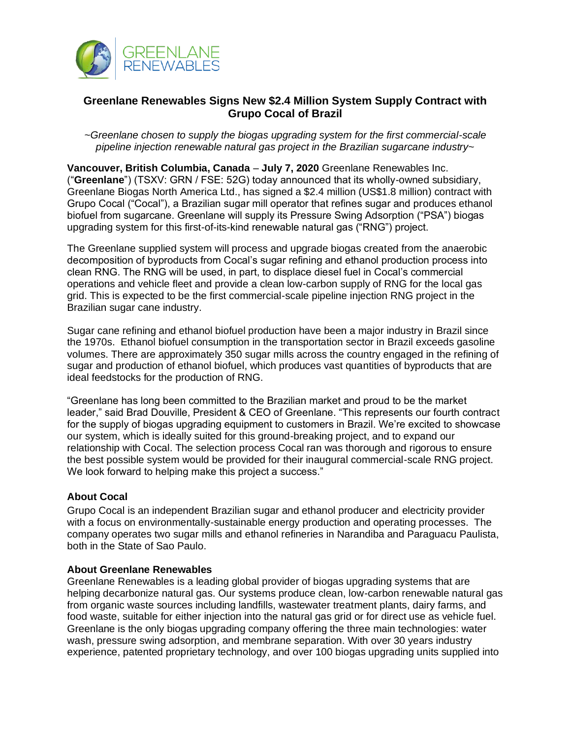

## **Greenlane Renewables Signs New \$2.4 Million System Supply Contract with Grupo Cocal of Brazil**

*~Greenlane chosen to supply the biogas upgrading system for the first commercial-scale pipeline injection renewable natural gas project in the Brazilian sugarcane industry~* 

**Vancouver, British Columbia, Canada** – **July 7, 2020** Greenlane Renewables Inc. ("**Greenlane**") (TSXV: GRN / FSE: 52G) today announced that its wholly-owned subsidiary, Greenlane Biogas North America Ltd., has signed a \$2.4 million (US\$1.8 million) contract with Grupo Cocal ("Cocal"), a Brazilian sugar mill operator that refines sugar and produces ethanol biofuel from sugarcane. Greenlane will supply its Pressure Swing Adsorption ("PSA") biogas upgrading system for this first-of-its-kind renewable natural gas ("RNG") project.

The Greenlane supplied system will process and upgrade biogas created from the anaerobic decomposition of byproducts from Cocal's sugar refining and ethanol production process into clean RNG. The RNG will be used, in part, to displace diesel fuel in Cocal's commercial operations and vehicle fleet and provide a clean low-carbon supply of RNG for the local gas grid. This is expected to be the first commercial-scale pipeline injection RNG project in the Brazilian sugar cane industry.

Sugar cane refining and ethanol biofuel production have been a major industry in Brazil since the 1970s. Ethanol biofuel consumption in the transportation sector in Brazil exceeds gasoline volumes. There are approximately 350 sugar mills across the country engaged in the refining of sugar and production of ethanol biofuel, which produces vast quantities of byproducts that are ideal feedstocks for the production of RNG.

"Greenlane has long been committed to the Brazilian market and proud to be the market leader," said Brad Douville, President & CEO of Greenlane. "This represents our fourth contract for the supply of biogas upgrading equipment to customers in Brazil. We're excited to showcase our system, which is ideally suited for this ground-breaking project, and to expand our relationship with Cocal. The selection process Cocal ran was thorough and rigorous to ensure the best possible system would be provided for their inaugural commercial-scale RNG project. We look forward to helping make this project a success."

## **About Cocal**

Grupo Cocal is an independent Brazilian sugar and ethanol producer and electricity provider with a focus on environmentally-sustainable energy production and operating processes. The company operates two sugar mills and ethanol refineries in Narandiba and Paraguacu Paulista, both in the State of Sao Paulo.

## **About Greenlane Renewables**

Greenlane Renewables is a leading global provider of biogas upgrading systems that are helping decarbonize natural gas. Our systems produce clean, low-carbon renewable natural gas from organic waste sources including landfills, wastewater treatment plants, dairy farms, and food waste, suitable for either injection into the natural gas grid or for direct use as vehicle fuel. Greenlane is the only biogas upgrading company offering the three main technologies: water wash, pressure swing adsorption, and membrane separation. With over 30 years industry experience, patented proprietary technology, and over 100 biogas upgrading units supplied into